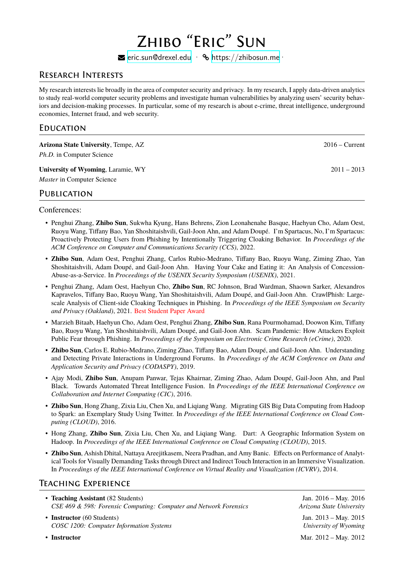# Zhibo "Eric" Sun

 $\blacktriangleright$  eric.sun@drexel.edu ·  $\blacklozenge$  https://zhibosun.me ·

## Research Interests

My research interests lie broadly [in the area of computer s](mailto:eric.sun@drexel.edu)ecurity [and privacy. In my resear](https://zhibosun.me)ch, I apply data-driven analytics to study real-world computer security problems and investigate human vulnerabilities by analyzing users' security behaviors and decision-making processes. In particular, some of my research is about e-crime, threat intelligence, underground economies, Internet fraud, and web security.

## **EDUCATION**

| <b>Arizona State University, Tempe, AZ</b><br><i>Ph.D.</i> in Computer Science | $2016 -$ Current |
|--------------------------------------------------------------------------------|------------------|
| University of Wyoming, Laramie, WY<br><i>Master</i> in Computer Science        | $2011 - 2013$    |
| PUBLICATION                                                                    |                  |

## Conferences:

- Penghui Zhang, **Zhibo Sun**, Sukwha Kyung, Hans Behrens, Zion Leonahenahe Basque, Haehyun Cho, Adam Oest, Ruoyu Wang, Tiffany Bao, Yan Shoshitaishvili, Gail-Joon Ahn, and Adam Doupé. I'm Spartacus, No, I'm Spartacus: Proactively Protecting Users from Phishing by Intentionally Triggering Cloaking Behavior. In *Proceedings of the ACM Conference on Computer and Communications Security (CCS)*, 2022.
- **Zhibo Sun**, Adam Oest, Penghui Zhang, Carlos Rubio-Medrano, Tiffany Bao, Ruoyu Wang, Ziming Zhao, Yan Shoshitaishvili, Adam Doupé, and Gail-Joon Ahn. Having Your Cake and Eating it: An Analysis of Concession-Abuse-as-a-Service. In *Proceedings of the USENIX Security Symposium (USENIX)*, 2021.
- Penghui Zhang, Adam Oest, Haehyun Cho, **Zhibo Sun**, RC Johnson, Brad Wardman, Shaown Sarker, Alexandros Kapravelos, Tiffany Bao, Ruoyu Wang, Yan Shoshitaishvili, Adam Doupé, and Gail-Joon Ahn. CrawlPhish: Largescale Analysis of Client-side Cloaking Techniques in Phishing. In *Proceedings of the IEEE Symposium on Security and Privacy (Oakland)*, 2021. Best Student Paper Award
- Marzieh Bitaab, Haehyun Cho, Adam Oest, Penghui Zhang, **Zhibo Sun**, Rana Pourmohamad, Doowon Kim, Tiffany Bao, Ruoyu Wang, Yan Shoshitaishvili, Adam Doupé, and Gail-Joon Ahn. Scam Pandemic: How Attackers Exploit Public Fear through Phishing. In *Proceedings of the Symposium on Electronic Crime Research (eCrime)*, 2020.
- **Zhibo Sun**, Carlos E. Rubio-Medrano, Ziming Zhao, Tiffany Bao, Adam Doupé, and Gail-Joon Ahn. Understanding and Detecting Private Interactions in Underground Forums. In *Proceedings of the ACM Conference on Data and Application Security and Privacy (CODASPY)*, 2019.
- Ajay Modi, **Zhibo Sun**, Anupam Panwar, Tejas Khairnar, Ziming Zhao, Adam Doupé, Gail-Joon Ahn, and Paul Black. Towards Automated Threat Intelligence Fusion. In *Proceedings of the IEEE International Conference on Collaboration and Internet Computing (CIC)*, 2016.
- **Zhibo Sun**, Hong Zhang, Zixia Liu, Chen Xu, and Liqiang Wang. Migrating GIS Big Data Computing from Hadoop to Spark: an Exemplary Study Using Twitter. In *Proceedings of the IEEE International Conference on Cloud Computing (CLOUD)*, 2016.
- Hong Zhang, **Zhibo Sun**, Zixia Liu, Chen Xu, and Liqiang Wang. Dart: A Geographic Information System on Hadoop. In *Proceedings of the IEEE International Conference on Cloud Computing (CLOUD)*, 2015.
- **Zhibo Sun**, Ashish Dhital, Nattaya Areejitkasem, Neera Pradhan, and Amy Banic. Effects on Performance of Analytical Tools for Visually Demanding Tasks through Direct and Indirect Touch Interaction in an Immersive Visualization. In *Proceedings of the IEEE International Conference on Virtual Reality and Visualization (ICVRV)*, 2014.

## Teaching Experience

- **Teaching Assistant** (82 Students) Jan. 2016 May. 2016 *CSE 469 & 598: Forensic Computing: Computer and Network Forensics Arizona State University*
- **Instructor** (60 Students) Jan. 2013 May. 2015 *COSC 1200: Computer Information Systems University of Wyoming*

• **Instructor** Mar. 2012 – May. 2012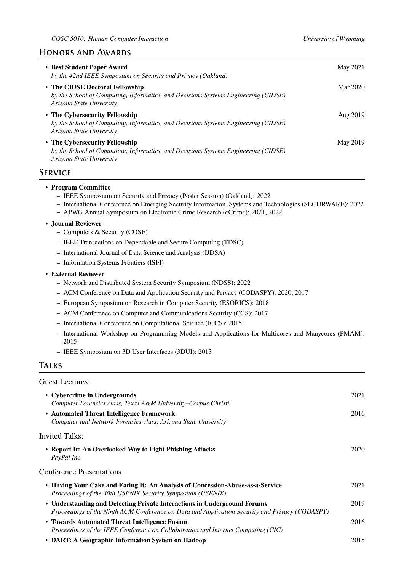## Honors and Awards

| • Best Student Paper Award<br>by the 42nd IEEE Symposium on Security and Privacy (Oakland)                                                        | May 2021        |
|---------------------------------------------------------------------------------------------------------------------------------------------------|-----------------|
| • The CIDSE Doctoral Fellowship<br>by the School of Computing, Informatics, and Decisions Systems Engineering (CIDSE)<br>Arizona State University | Mar 2020        |
| • The Cybersecurity Fellowship<br>by the School of Computing, Informatics, and Decisions Systems Engineering (CIDSE)<br>Arizona State University  | Aug 2019        |
| • The Cybersecurity Fellowship<br>by the School of Computing, Informatics, and Decisions Systems Engineering (CIDSE)<br>Arizona State University  | <b>May 2019</b> |
| SERVICE                                                                                                                                           |                 |

#### • **Program Committee**

- **–** IEEE Symposium on Security and Privacy (Poster Session) (Oakland): 2022
- **–** International Conference on Emerging Security Information, Systems and Technologies (SECURWARE): 2022
- **–** APWG Annual Symposium on Electronic Crime Research (eCrime): 2021, 2022

#### • **Journal Reviewer**

- **–** Computers & Security (COSE)
- **–** IEEE Transactions on Dependable and Secure Computing (TDSC)
- **–** International Journal of Data Science and Analysis (IJDSA)
- **–** Information Systems Frontiers (ISFI)

#### • **External Reviewer**

- **–** Network and Distributed System Security Symposium (NDSS): 2022
- **–** ACM Conference on Data and Application Security and Privacy (CODASPY): 2020, 2017
- **–** European Symposium on Research in Computer Security (ESORICS): 2018
- **–** ACM Conference on Computer and Communications Security (CCS): 2017
- **–** International Conference on Computational Science (ICCS): 2015
- **–** International Workshop on Programming Models and Applications for Multicores and Manycores (PMAM): 2015
- **–** IEEE Symposium on 3D User Interfaces (3DUI): 2013

## **TALKS**

#### Guest Lectures:

| • Cybercrime in Undergrounds<br>Computer Forensics class, Texas A&M University–Corpus Christi                                                                              | 2021 |
|----------------------------------------------------------------------------------------------------------------------------------------------------------------------------|------|
| • Automated Threat Intelligence Framework<br>Computer and Network Forensics class, Arizona State University                                                                | 2016 |
| <b>Invited Talks:</b>                                                                                                                                                      |      |
| • Report It: An Overlooked Way to Fight Phishing Attacks<br>PayPal Inc.                                                                                                    | 2020 |
| <b>Conference Presentations</b>                                                                                                                                            |      |
| • Having Your Cake and Eating It: An Analysis of Concession-Abuse-as-a-Service<br>Proceedings of the 30th USENIX Security Symposium (USENIX)                               | 2021 |
| • Understanding and Detecting Private Interactions in Underground Forums<br>Proceedings of the Ninth ACM Conference on Data and Application Security and Privacy (CODASPY) | 2019 |
| • Towards Automated Threat Intelligence Fusion<br>Proceedings of the IEEE Conference on Collaboration and Internet Computing (CIC)                                         | 2016 |
| • DART: A Geographic Information System on Hadoop                                                                                                                          | 2015 |